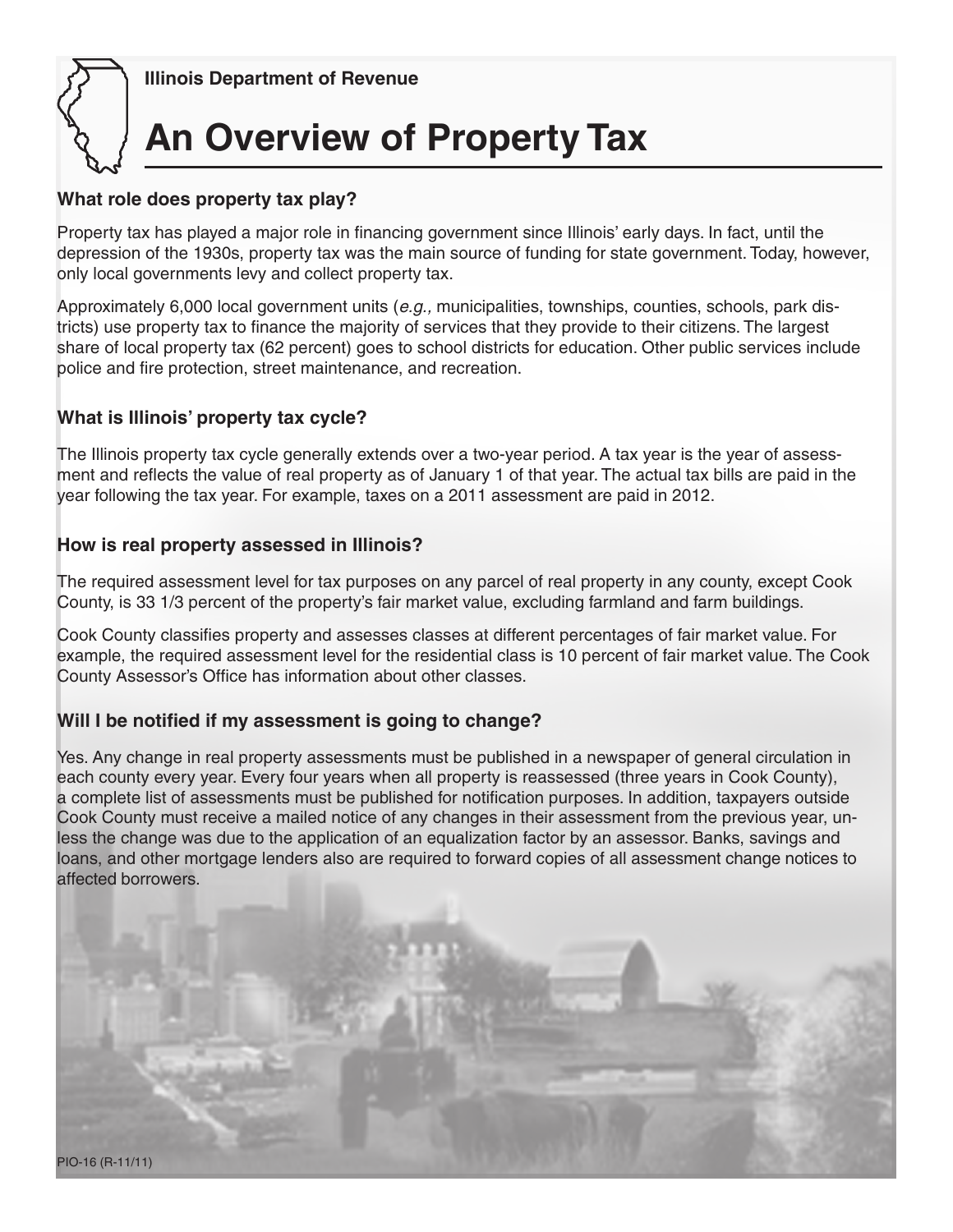

 **Illinois Department of Revenue**

# **An Overview of Property Tax**

#### **What role does property tax play?**

Property tax has played a major role in financing government since Illinois' early days. In fact, until the depression of the 1930s, property tax was the main source of funding for state government. Today, however, only local governments levy and collect property tax.

Approximately 6,000 local government units (*e.g.,* municipalities, townships, counties, schools, park districts) use property tax to finance the majority of services that they provide to their citizens. The largest share of local property tax (62 percent) goes to school districts for education. Other public services include police and fire protection, street maintenance, and recreation.

#### **What is Illinois' property tax cycle?**

The Illinois property tax cycle generally extends over a two-year period. A tax year is the year of assessment and reflects the value of real property as of January 1 of that year. The actual tax bills are paid in the year following the tax year. For example, taxes on a 2011 assessment are paid in 2012.

#### **How is real property assessed in Illinois?**

The required assessment level for tax purposes on any parcel of real property in any county, except Cook County, is 33 1/3 percent of the property's fair market value, excluding farmland and farm buildings.

Cook County classifies property and assesses classes at different percentages of fair market value. For example, the required assessment level for the residential class is 10 percent of fair market value. The Cook County Assessor's Office has information about other classes.

#### **Will I be notified if my assessment is going to change?**

Yes. Any change in real property assessments must be published in a newspaper of general circulation in each county every year. Every four years when all property is reassessed (three years in Cook County), a complete list of assessments must be published for notification purposes. In addition, taxpayers outside Cook County must receive a mailed notice of any changes in their assessment from the previous year, unless the change was due to the application of an equalization factor by an assessor. Banks, savings and loans, and other mortgage lenders also are required to forward copies of all assessment change notices to affected borrowers.

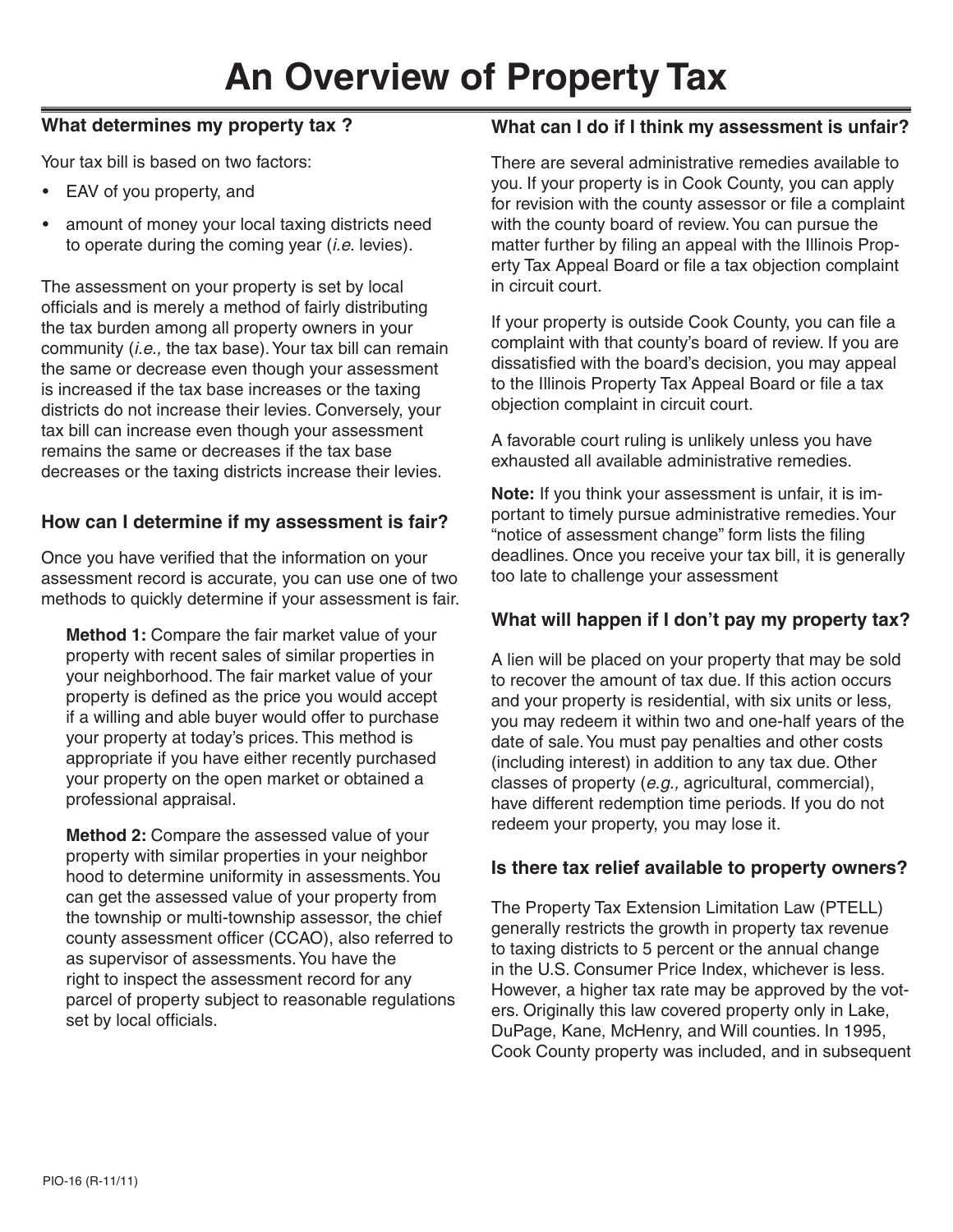# **An Overview of Property Tax**

#### **What determines my property tax ?**

Your tax bill is based on two factors:

- EAV of you property, and
- amount of money your local taxing districts need to operate during the coming year (*i.e.* levies).

The assessment on your property is set by local officials and is merely a method of fairly distributing the tax burden among all property owners in your community (*i.e.,* the tax base). Your tax bill can remain the same or decrease even though your assessment is increased if the tax base increases or the taxing districts do not increase their levies. Conversely, your tax bill can increase even though your assessment remains the same or decreases if the tax base decreases or the taxing districts increase their levies.

#### **How can I determine if my assessment is fair?**

Once you have verified that the information on your assessment record is accurate, you can use one of two methods to quickly determine if your assessment is fair.

**Method 1:** Compare the fair market value of your property with recent sales of similar properties in your neighborhood. The fair market value of your property is defined as the price you would accept if a willing and able buyer would offer to purchase your property at today's prices. This method is appropriate if you have either recently purchased your property on the open market or obtained a professional appraisal.

**Method 2:** Compare the assessed value of your property with similar properties in your neighbor hood to determine uniformity in assessments. You can get the assessed value of your property from the township or multi-township assessor, the chief county assessment officer (CCAO), also referred to as supervisor of assessments. You have the right to inspect the assessment record for any parcel of property subject to reasonable regulations set by local officials.

#### **What can I do if I think my assessment is unfair?**

There are several administrative remedies available to you. If your property is in Cook County, you can apply for revision with the county assessor or file a complaint with the county board of review. You can pursue the matter further by filing an appeal with the Illinois Property Tax Appeal Board or file a tax objection complaint in circuit court.

If your property is outside Cook County, you can file a complaint with that county's board of review. If you are dissatisfied with the board's decision, you may appeal to the Illinois Property Tax Appeal Board or file a tax objection complaint in circuit court.

A favorable court ruling is unlikely unless you have exhausted all available administrative remedies.

**Note:** If you think your assessment is unfair, it is important to timely pursue administrative remedies. Your "notice of assessment change" form lists the filing deadlines. Once you receive your tax bill, it is generally too late to challenge your assessment

#### **What will happen if I don't pay my property tax?**

A lien will be placed on your property that may be sold to recover the amount of tax due. If this action occurs and your property is residential, with six units or less, you may redeem it within two and one-half years of the date of sale. You must pay penalties and other costs (including interest) in addition to any tax due. Other classes of property (*e.g.,* agricultural, commercial), have different redemption time periods. If you do not redeem your property, you may lose it.

#### **Is there tax relief available to property owners?**

The Property Tax Extension Limitation Law (PTELL) generally restricts the growth in property tax revenue to taxing districts to 5 percent or the annual change in the U.S. Consumer Price Index, whichever is less. However, a higher tax rate may be approved by the voters. Originally this law covered property only in Lake, DuPage, Kane, McHenry, and Will counties. In 1995, Cook County property was included, and in subsequent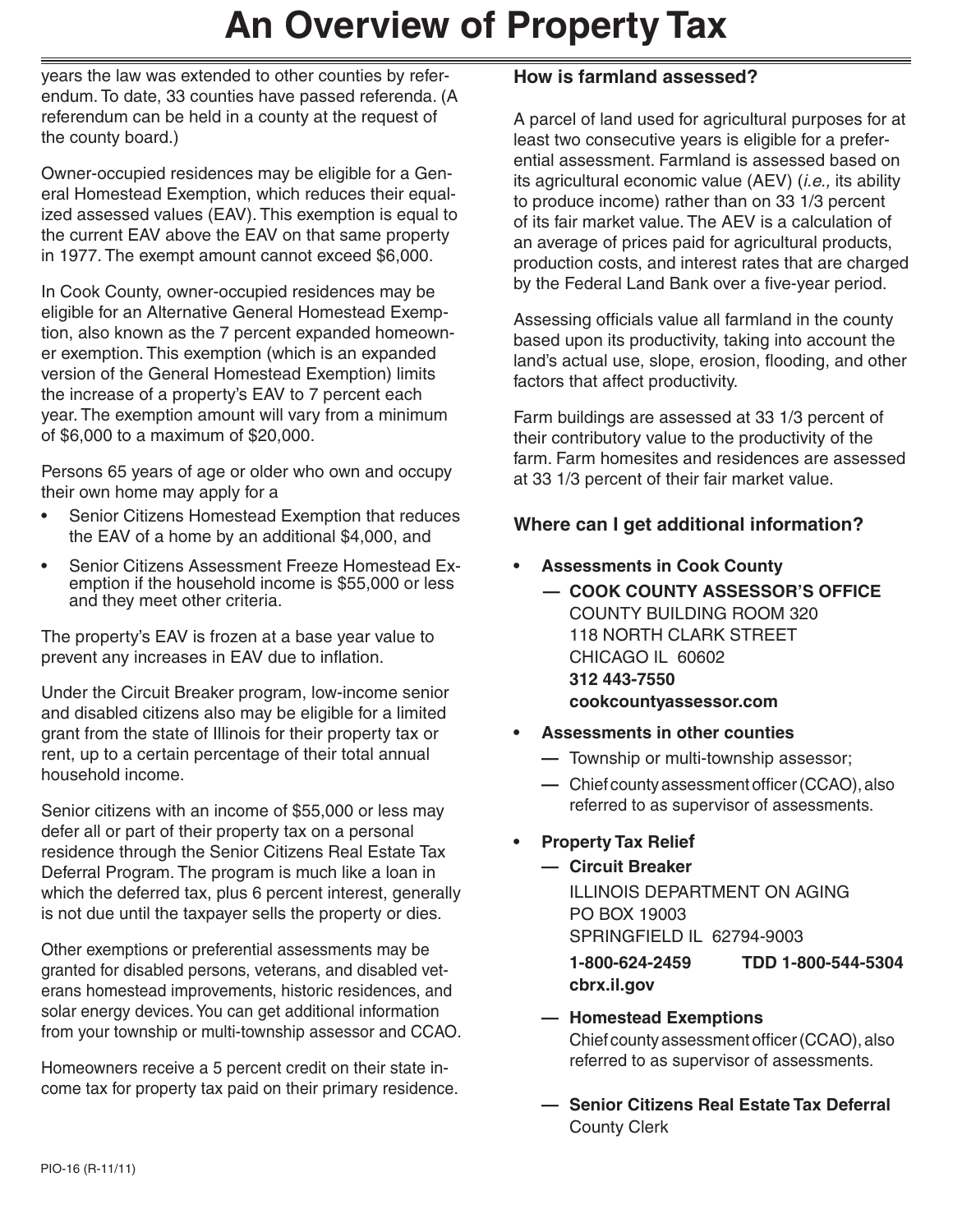## **An Overview of Property Tax**

years the law was extended to other counties by referendum. To date, 33 counties have passed referenda. (A referendum can be held in a county at the request of the county board.)

Owner-occupied residences may be eligible for a General Homestead Exemption, which reduces their equalized assessed values (EAV). This exemption is equal to the current EAV above the EAV on that same property in 1977. The exempt amount cannot exceed \$6,000.

In Cook County, owner-occupied residences may be eligible for an Alternative General Homestead Exemption, also known as the 7 percent expanded homeowner exemption. This exemption (which is an expanded version of the General Homestead Exemption) limits the increase of a property's EAV to 7 percent each year. The exemption amount will vary from a minimum of \$6,000 to a maximum of \$20,000.

Persons 65 years of age or older who own and occupy their own home may apply for a

- Senior Citizens Homestead Exemption that reduces the EAV of a home by an additional \$4,000, and
- Senior Citizens Assessment Freeze Homestead Exemption if the household income is \$55,000 or less and they meet other criteria.

The property's EAV is frozen at a base year value to prevent any increases in EAV due to inflation.

Under the Circuit Breaker program, low-income senior and disabled citizens also may be eligible for a limited grant from the state of Illinois for their property tax or rent, up to a certain percentage of their total annual household income.

Senior citizens with an income of \$55,000 or less may defer all or part of their property tax on a personal residence through the Senior Citizens Real Estate Tax Deferral Program. The program is much like a loan in which the deferred tax, plus 6 percent interest, generally is not due until the taxpayer sells the property or dies.

Other exemptions or preferential assessments may be granted for disabled persons, veterans, and disabled veterans homestead improvements, historic residences, and solar energy devices. You can get additional information from your township or multi-township assessor and CCAO.

Homeowners receive a 5 percent credit on their state income tax for property tax paid on their primary residence.

### **How is farmland assessed?**

A parcel of land used for agricultural purposes for at least two consecutive years is eligible for a preferential assessment. Farmland is assessed based on its agricultural economic value (AEV) (*i.e.,* its ability to produce income) rather than on 33 1/3 percent of its fair market value. The AEV is a calculation of an average of prices paid for agricultural products, production costs, and interest rates that are charged by the Federal Land Bank over a five-year period.

Assessing officials value all farmland in the county based upon its productivity, taking into account the land's actual use, slope, erosion, flooding, and other factors that affect productivity.

Farm buildings are assessed at 33 1/3 percent of their contributory value to the productivity of the farm. Farm homesites and residences are assessed at 33 1/3 percent of their fair market value.

#### **Where can I get additional information?**

- **• Assessments in Cook County**
	- **— COOK COUNTY ASSESSOR'S OFFICE** COUNTY BUILDING ROOM 320 118 NORTH CLARK STREET CHICAGO IL 60602  **312 443-7550 cookcountyassessor.com**
- **• Assessments in other counties**
	- $-$  Township or multi-township assessor;
	- $\blacksquare$  Chief county assessment officer (CCAO), also referred to as supervisor of assessments.

#### **Property Tax Relief**

 **— Circuit Breaker**

 ILLINOIS DEPARTMENT ON AGING PO BOX 19003 SPRINGFIELD IL 62794-9003

 **1-800-624-2459 TDD 1-800-544-5304 cbrx.il.gov**

- **— Homestead Exemptions** Chief county assessment officer (CCAO), also referred to as supervisor of assessments.
- **— Senior Citizens Real Estate Tax Deferral County Clerk**